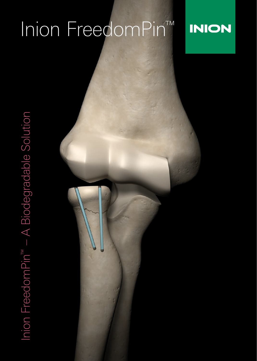# Inion FreedomPin<sup>™</sup>

# **INION**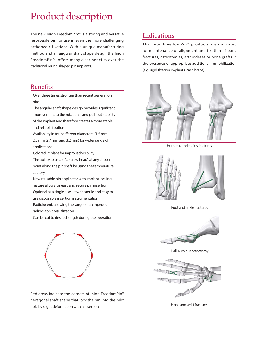### Product description

The new Inion FreedomPin™ is a strong and versatile resorbable pin for use in even the more challenging orthopedic fixations. With a unique manufacturing method and an angular shaft shape design the Inion FreedomPin™ offers many clear benefits over the traditional round shaped pin implants.

#### Benefits

- **Over three times stronger than recent generation** pins
- The angular shaft shape design provides significant improvement to the rotational and pull-out stability of the implant and therefore creates a more stable and reliable fixation
- Availability in four different diameters (1.5 mm, 2.0 mm, 2.7 mm and 3.2 mm) for wider range of applications
- **Colored implant for improved visibility**
- **The ability to create "a screw head" at any chosen**  point along the pin shaft by using the temperature cautery
- New reusable pin applicator with implant locking feature allows for easy and secure pin insertion
- Optional as a single-use kit with sterile and easy to use disposable insertion instrumentation
- Radiolucent, allowing the surgeon unimpeded radiographic visualization
- **Can be cut to desired length during the operation**



Red areas indicate the corners of Inion FreedomPin™ hexagonal shaft shape that lock the pin into the pilot hole by slight deformation within insertion

#### Indications

The Inion FreedomPin™ products are indicated for maintenance of alignment and fixation of bone fractures, osteotomies, arthrodeses or bone grafts in the presence of appropriate additional immobilization (e.g. rigid fixation implants, cast, brace).



Humerus and radius fractures



Foot and ankle fractures



Hallux valgus osteotomy



Hand and wrist fractures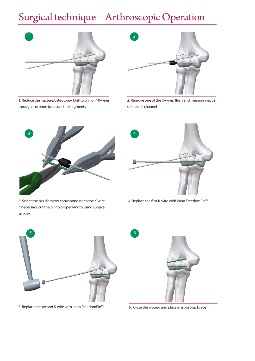# Surgical technique – Arthroscopic Operation



1. Reduce the fracture/osteotomy. Drill two Inion® K-wires through the bone to secure the fragments



2. Remove one of the K-wires, flush and measure depth of the drill channel



3. Select the pin diameter corresponding to the K-wire. If necessary, cut the pin to proper length using surgical scissors



4. Replace the first K-wire with Inion FreedomPin™



5. Replace the second K-wire with Inion FreedomPin™



6. Close the wound and place in a post-op brace